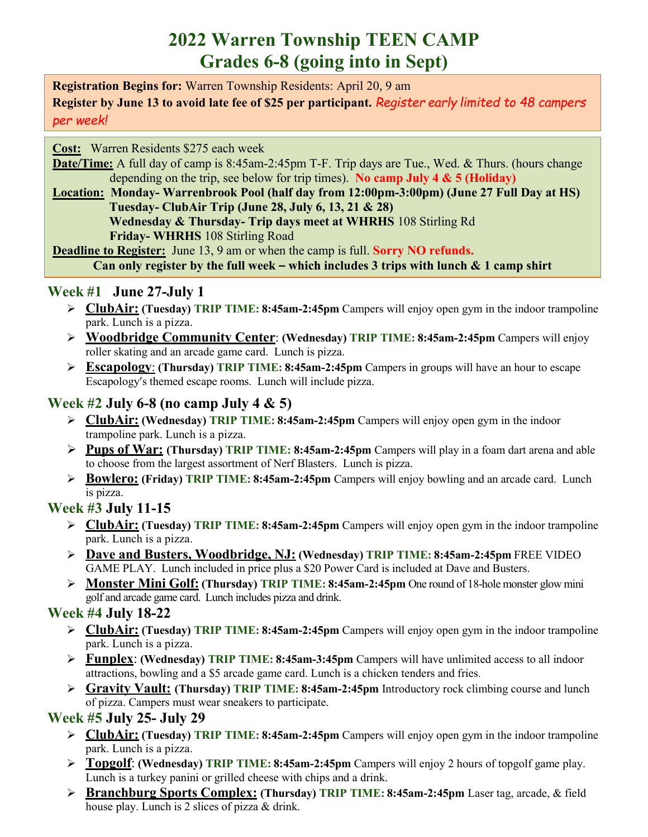# **2022 Warren Township TEEN CAMP Grades 6-8 (going into in Sept)**

**Registration Begins for:** Warren Township Residents: April 20, 9 am **Register by June 13 to avoid late fee of \$25 per participant.** *Register early limited to 48 campers per week!*

**Cost:** Warren Residents \$275 each week

**Date/Time:** A full day of camp is 8:45am-2:45pm T-F. Trip days are Tue., Wed. & Thurs. (hours change depending on the trip, see below for trip times). **No camp July 4 & 5 (Holiday)**

**Location: Monday- Warrenbrook Pool (half day from 12:00pm-3:00pm) (June 27 Full Day at HS) Tuesday- ClubAir Trip (June 28, July 6, 13, 21 & 28) Wednesday & Thursday- Trip days meet at WHRHS** 108 Stirling Rd **Friday- WHRHS** 108 Stirling Road

**Deadline to Register:** June 13, 9 am or when the camp is full. **Sorry NO refunds. Can only register by the full week – which includes 3 trips with lunch & 1 camp shirt**

## **Week #1 June 27-July 1**

- **ClubAir: (Tuesday) TRIP TIME: 8:45am-2:45pm** Campers will enjoy open gym in the indoor trampoline park. Lunch is a pizza.
- **Woodbridge Community Center**: **(Wednesday) TRIP TIME: 8:45am-2:45pm** Campers will enjoy roller skating and an arcade game card. Lunch is pizza.
- **Escapology**: **(Thursday) TRIP TIME: 8:45am-2:45pm** Campers in groups will have an hour to escape Escapology's themed escape rooms. Lunch will include pizza.

## **Week #2 July 6-8 (no camp July 4 & 5)**

- **ClubAir: (Wednesday) TRIP TIME: 8:45am-2:45pm** Campers will enjoy open gym in the indoor trampoline park. Lunch is a pizza.
- **Pups of War: (Thursday) TRIP TIME: 8:45am-2:45pm** Campers will play in a foam dart arena and able to choose from the largest assortment of Nerf Blasters. Lunch is pizza.
- **Bowlero: (Friday) TRIP TIME: 8:45am-2:45pm** Campers will enjoy bowling and an arcade card. Lunch is pizza.

## **Week #3 July 11-15**

- **ClubAir: (Tuesday) TRIP TIME: 8:45am-2:45pm** Campers will enjoy open gym in the indoor trampoline park. Lunch is a pizza.
- **Dave and Busters, Woodbridge, NJ: (Wednesday) TRIP TIME: 8:45am-2:45pm** FREE VIDEO GAME PLAY. Lunch included in price plus a \$20 Power Card is included at Dave and Busters.
- **Monster Mini Golf: (Thursday) TRIP TIME: 8:45am-2:45pm** One round of 18-hole monster glow mini golf and arcade game card. Lunch includes pizza and drink.

## **Week #4 July 18-22**

- **ClubAir: (Tuesday) TRIP TIME: 8:45am-2:45pm** Campers will enjoy open gym in the indoor trampoline park. Lunch is a pizza.
- **Funplex**: **(Wednesday) TRIP TIME: 8:45am-3:45pm** Campers will have unlimited access to all indoor attractions, bowling and a \$5 arcade game card. Lunch is a chicken tenders and fries.
- **Gravity Vault: (Thursday) TRIP TIME: 8:45am-2:45pm** Introductory rock climbing course and lunch of pizza. Campers must wear sneakers to participate.

## **Week #5 July 25- July 29**

- **ClubAir: (Tuesday) TRIP TIME: 8:45am-2:45pm** Campers will enjoy open gym in the indoor trampoline park. Lunch is a pizza.
- **Topgolf**: **(Wednesday) TRIP TIME: 8:45am-2:45pm** Campers will enjoy 2 hours of topgolf game play. Lunch is a turkey panini or grilled cheese with chips and a drink.
- **Branchburg Sports Complex: (Thursday) TRIP TIME: 8:45am-2:45pm** Laser tag, arcade, & field house play. Lunch is 2 slices of pizza & drink.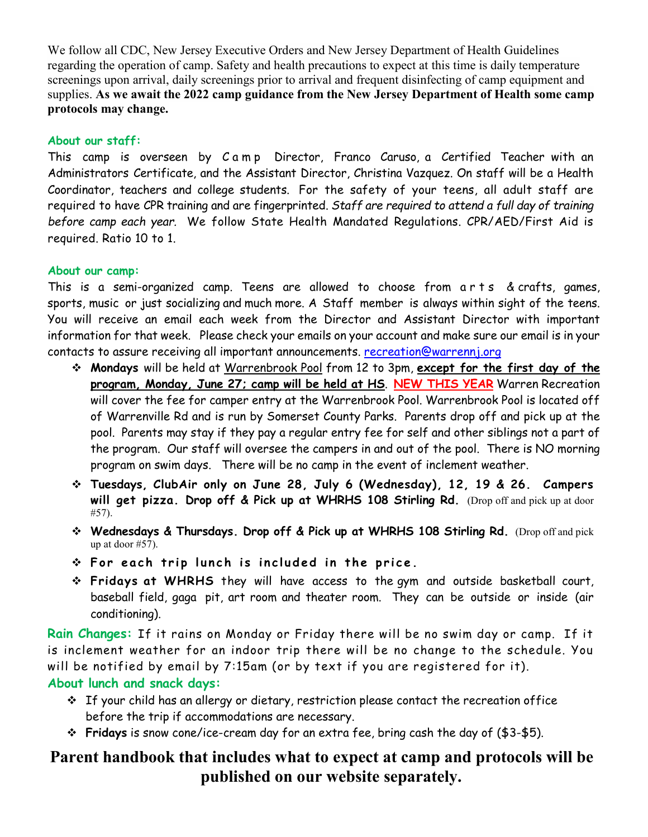We follow all CDC, New Jersey Executive Orders and New Jersey Department of Health Guidelines regarding the operation of camp. Safety and health precautions to expect at this time is daily temperature screenings upon arrival, daily screenings prior to arrival and frequent disinfecting of camp equipment and supplies. **As we await the 2022 camp guidance from the New Jersey Department of Health some camp protocols may change.**

#### **About our staff:**

This camp is overseen by Camp Director, Franco Caruso, a Certified Teacher with an Administrators Certificate, and the Assistant Director, Christina Vazquez. On staff will be a Health Coordinator, teachers and college students. For the safety of your teens, all adult staff are required to have CPR training and are fingerprinted. *Staff are required to attend a full day of training before camp each year.* We follow State Health Mandated Regulations. CPR/AED/First Aid is required. Ratio 10 to 1.

### **About our camp:**

This is a semi-organized camp. Teens are allowed to choose from arts & crafts, games, sports, music or just socializing and much more. A Staff member is always within sight of the teens. You will receive an email each week from the Director and Assistant Director with important information for that week. Please check your emails on your account and make sure our email is in your contacts to assure receiving all important announcements. [recreation@warrennj.org](mailto:recreation@warrennj.org)

- **Mondays** will be held at Warrenbrook Pool from 12 to 3pm, **except for the first day of the program, Monday, June 27; camp will be held at HS**. **NEW THIS YEAR** Warren Recreation will cover the fee for camper entry at the Warrenbrook Pool. Warrenbrook Pool is located off of Warrenville Rd and is run by Somerset County Parks. Parents drop off and pick up at the pool. Parents may stay if they pay a regular entry fee for self and other siblings not a part of the program. Our staff will oversee the campers in and out of the pool. There is NO morning program on swim days. There will be no camp in the event of inclement weather.
- **Tuesdays, ClubAir only on June 28, July 6 (Wednesday), 12, 19 & 26. Campers will get pizza. Drop off & Pick up at WHRHS 108 Stirling Rd.** (Drop off and pick up at door #57).
- **Wednesdays & Thursdays. Drop off & Pick up at WHRHS 108 Stirling Rd.** (Drop off and pick up at door #57).
- **For each trip lunch is included in the price.**
- **Fridays at WHRHS** they will have access to the gym and outside basketball court, baseball field, gaga pit, art room and theater room. They can be outside or inside (air conditioning).

**Rain Changes:** If it rains on Monday or Friday there will be no swim day or camp. If it is inclement weather for an indoor trip there will be no change to the schedule. You will be notified by email by 7:15am (or by text if you are registered for it).

### **About lunch and snack days:**

- If your child has an allergy or dietary, restriction please contact the recreation office before the trip if accommodations are necessary.
- **Fridays** is snow cone/ice-cream day for an extra fee, bring cash the day of (\$3-\$5).

## **Parent handbook that includes what to expect at camp and protocols will be published on our website separately.**